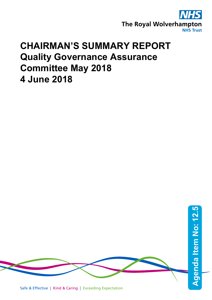

# **CHAIRMAN'S SUMMARY REPORT Quality Governance Assurance Committee May 2018 4 June 2018**

Safe & Effective | Kind & Caring | Exceeding Expectation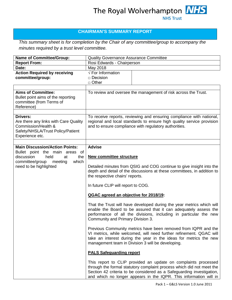# **CHAIRMAN'S SUMMARY REPORT**

*This summary sheet is for completion by the Chair of any committee/group to accompany the minutes required by a trust level committee.*

| <b>Name of Committee/Group:</b>                                                                                                    | Quality Governance Assurance Committee                                                                                                                                                                                                                                                |  |  |
|------------------------------------------------------------------------------------------------------------------------------------|---------------------------------------------------------------------------------------------------------------------------------------------------------------------------------------------------------------------------------------------------------------------------------------|--|--|
| <b>Report From:</b>                                                                                                                | Rosi Edwards - Chairperson                                                                                                                                                                                                                                                            |  |  |
| Date:                                                                                                                              | May 2018                                                                                                                                                                                                                                                                              |  |  |
| <b>Action Required by receiving</b><br>committee/group:                                                                            | $\sqrt{\mathsf{F}}$ For Information<br>$\Box$ Decision<br>$\Box$ Other                                                                                                                                                                                                                |  |  |
|                                                                                                                                    |                                                                                                                                                                                                                                                                                       |  |  |
| <b>Aims of Committee:</b><br>Bullet point aims of the reporting<br>committee (from Terms of<br>Reference)                          | To review and oversee the management of risk across the Trust.                                                                                                                                                                                                                        |  |  |
| Drivers:<br>Are there any links with Care Quality<br>Commission/Health &<br>Safety/NHSLA/Trust Policy/Patient<br>Experience etc.   | To receive reports, reviewing and ensuring compliance with national,<br>regional and local standards to ensure high quality service provision<br>and to ensure compliance with regulatory authorities.                                                                                |  |  |
| <b>Main Discussion/Action Points:</b>                                                                                              | <b>Advise</b>                                                                                                                                                                                                                                                                         |  |  |
| Bullet point the main areas of<br>discussion<br>held<br>the<br>at<br>which<br>committee/group<br>meeting<br>need to be highlighted | <b>New committee structure</b><br>Detailed minutes from QSIG and COG continue to give insight into the<br>depth and detail of the discussions at these committees, in addition to<br>the respective chairs' reports.<br>In future CLIP will report to COG.                            |  |  |
|                                                                                                                                    |                                                                                                                                                                                                                                                                                       |  |  |
|                                                                                                                                    | QGAC agreed an objective for 2018/19:                                                                                                                                                                                                                                                 |  |  |
|                                                                                                                                    | That the Trust will have developed during the year metrics which will<br>enable the Board to be assured that it can adequately assess the<br>performance of all the divisions, including in particular the new<br>Community and Primary Division 3.                                   |  |  |
|                                                                                                                                    | Previous Community metrics have been removed from IQPR and the<br>VI metrics, while welcomed, will need further refinement. QGAC will<br>take an interest during the year in the ideas for metrics the new<br>management team in Division 3 will be developing.                       |  |  |
|                                                                                                                                    | <b>PALS Safeguarding report</b>                                                                                                                                                                                                                                                       |  |  |
|                                                                                                                                    | This report to CLIP provided an update on complaints processed<br>through the formal statutory complaint process which did not meet the<br>Section 42 criteria to be considered as a Safeguarding investigation,<br>and which no longer appears in the IQPR. This information will in |  |  |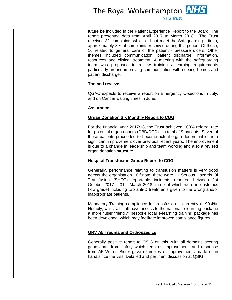# The Royal Wolverhampton **NHS**

**NHS Trust** 

future be included in the Patient Experience Report to the Board. The report presented data from April 2017 to March 2018. The Trust received 31 complaints which did not meet the Safeguarding criteria, approximately 8% of complaints received during this period. Of these, 16 related to general care of the patient - pressure ulcers. Other themes included communication, patient discharge, information, resources and clinical treatment. A meeting with the safeguarding team was proposed to review training / learning requirements particularly around improving communication with nursing homes and patient discharge.

#### **Themed reviews**

QGAC expects to receive a report on Emergency C-sections in July, and on Cancer waiting times in June.

## **Assurance**

## **Organ Donation Six Monthly Report to COG**

For the financial year 2017/18, the Trust achieved 100% referral rate for potential organ donors (DBD/DCD) – a total of 9 patients. Seven of these patients proceeded to become actual organ donors, which is a significant improvement over previous recent years. The improvement is due to a change in leadership and team working and also a revised organ donation structure.

# **Hospital Transfusion Group Report to COG**

Generally, performance relating to transfusion matters is very good across the organisation. Of note, there were 11 Serious Hazards Of Transfusion (SHOT) reportable incidents reported between 1st October 2017 – 31st March 2018, three of which were in obstetrics (low grade) including two anti-D treatments given to the wrong and/or inappropriate patients.

Mandatory Training compliance for transfusion is currently at 90.4%. Notably, whilst all staff have access to the national e-learning package a more "user friendly" bespoke local e-learning training package has been developed, which may facilitate improved compliance figures.

# **QRV A5 Trauma and Orthopaedics**

Generally positive report to QSIG on this, with all domains scoring good apart from safety which requires improvement, and response from A5 Wards Sister gave examples of improvements made or in hand since the visit. Detailed and pertinent discussion at QSIG.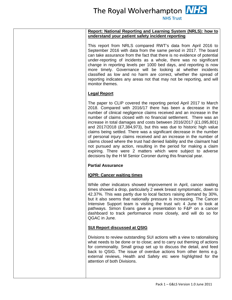#### **Report: National Reporting and Learning System (NRLS): how to understand your patient safety incident reporting**

This report from NRLS compared RWT's data from April 2016 to September 2016 with data from the same period in 2017. The board can take assurance from the fact that there is no evidence of potential under-reporting of incidents as a whole, there was no significant change in reporting levels per 1000 bed days, and reporting is now more timely. Governance will be looking at whether incidents classified as low and no harm are correct, whether the spread of reporting indicates any areas not that may not be reporting, and will monitor themes.

# **Legal Report**

The paper to CLIP covered the reporting period April 2017 to March 2018. Compared with 2016/17 there has been a decrease in the number of clinical negligence claims received and an increase in the number of claims closed with no financial settlement. There was an increase in total damages and costs between 2016/2017 (£1,095,801) and 2017/2018 (£7,384,973), but this was due to historic high value claims being settled. There was a significant decrease in the number of personal injury claims received and an increase in the number of claims closed where the trust had denied liability and the claimant had not pursued any action, resulting in the period for making a claim expiring. There were 2 matters which were subject to adverse decisions by the H M Senior Coroner during this financial year.

# **Partial Assurance**

#### **IQPR: Cancer waiting times**

While other indicators showed improvement in April, cancer waiting times showed a drop, particularly 2 week breast symptomatic, down to 42.37%. This was partly due to local factors raising demand by 30%, but it also seems that nationally pressure is increasing. The Cancer Intensive Support team is visiting the trust w/c 4 June to look at pathways. Simon Evans gave a presentation to F&P on a cancer dashboard to track performance more closely, and will do so for QGAC in June.

# **SUI Report discussed at QSIG**

Divisions to review outstanding SUI actions with a view to rationalising what needs to be done or to close; and to carry out theming of actions for commonality. Small group set up to discuss the detail, and feed back to QSIG. The issue of overdue actions from other items e.g. external reviews, Health and Safety etc were highlighted for the attention of both Divisions.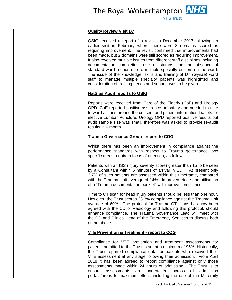#### **NHS Trust**

## **Quality Review Visit D7**

QSIG received a report of a revisit in December 2017 following an earlier visit in February where there were 3 domains scored as requiring improvement. The revisit confirmed that improvements had been made, but 2 domains were still scored as requiring improvement. It also revealed multiple issues from different staff disciplines including documentation completion, use of stamps and the absence of standard ward rounds due to multiple specialty outliers on the ward. The issue of the knowledge, skills and training of D7 (Gynae) ward staff to manage multiple specialty patients was highlighted and consideration of training needs and support was to be given.

#### **NatSips Audit reports to QSIG**

Reports were received from Care of the Elderly (CoE) and Urology OPD. CoE reported positive assurance on safety and needed to take forward actions around the consent and patient information leaflets for elective Lumbar Puncture. Urology OPD reported positive results but audit sample size was small, therefore was asked to provide re-audit results in 6 month.

## **Trauma Governance Group - report to COG**

Whilst there has been an improvement in compliance against the performance standards with respect to Trauma governance, two specific areas require a focus of attention, as follows:

Patients with an ISS (injury severity score) greater than 15 to be seen by a Consultant within 5 minutes of arrival in ED. At present only 3.7% of such patients are assessed within this timeframe, compared with the Trauma Unit average of 14%. Improved triage and utilisation of a "Trauma documentation booklet" will improve compliance.

Time to CT scan for head injury patients should be less than one hour. However, the Trust scores 33.3% compliance against the Trauma Unit average of 60%. The protocol for Trauma CT scans has now been agreed with the CD of Radiology and following this protocol, should enhance compliance. The Trauma Governance Lead will meet with the CD and Clinical Lead of the Emergency Services to discuss both of the above.

# **VTE Prevention & Treatment - report to COG**

Compliance for VTE prevention and treatment assessments for patients admitted to the Trust is set at a minimum of 95%. Historically, the Trust reported compliance data for patients who received their VTE assessment at any stage following their admission. From April 2018 it has been agreed to report compliance against only those assessments made within 24 hours of admission. The Trust is to ensure assessments are undertaken across all admission portals/areas to maximum effect, including the use of the Maternity